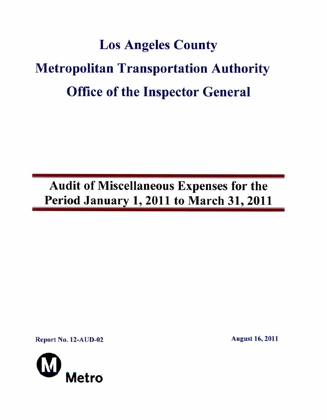# **Los Angeles County Metropolitan Transportation Authority Office of the Inspector General**

**Audit of Miscellaneous Expenses for the Period January 1, 2011 to March 31, 2011** 

**Report No. 12-AUD-02 August 16, 2011** 

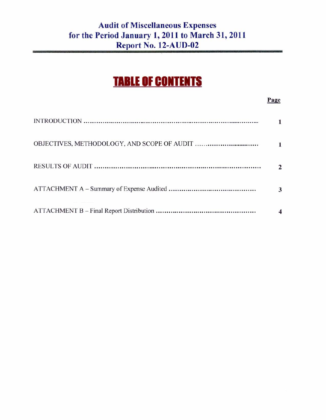# **Audit of Miscellaneous Expenses for the Period January 1, 2011 to March 31, 2011 Report No. 12-AUD-02**

# **TABLE OF CONTENTS**

#### **Page**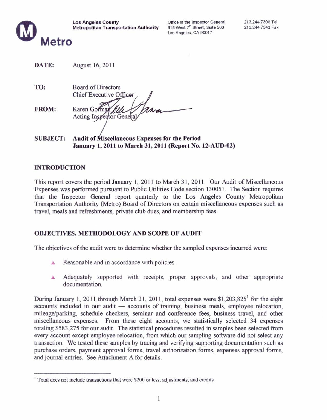

Office of the Inspector General 818 West 7<sup>th</sup> Street. Suite 500 Los Angeles. CA 90017

| DATE: | August 16, 2011 |
|-------|-----------------|
|-------|-----------------|

**TO:** Board of Directors Chief Executive Off **FROM:** Karen Gorman **Acting Inspector General** 

**SUBJECT:** Audit of Miscellaneous Expenses for the Period **January 1, 2011 to March 31, 2011 (Report No. 12-AUD-02)** 

#### **INTRODUCTION**

This report covers the period January 1, 2011 to March 31, 2011. Our Audit of Miscellaneous Expenses was performed pursuant to Public Utilities Code section 130051. The Section requires that the Inspector General report quarterly to the Los Angeles County Metropolitan Transportation Authority (Metro) Board of Directors on certain miscellaneous expenses such as travel, meals and refreshments, private club dues, and membership fees.

#### **OBJECTIVES, METHODOLOGY AND SCOPE OF AUDIT**

The objectives of the audit were to determine whether the sampled expenses incurred were:

- Reasonable and in accordance with policies. A
- Adequately supported with receipts, proper approvals, and other appropriate A documentation.

During January 1, 2011 through March 31, 2011, total expenses were  $$1,203,825$ <sup>1</sup> for the eight accounts included in our audit — accounts of training, business meals, employee relocation, mileage/parking, schedule checkers, seminar and conference fees, business travel, and other miscellaneous expenses. From these eight accounts, we statistically selected 34 expenses totaling \$583,275 for our audit. The statistical procedures resulted in samples been selected from every account except employee relocation, from which our sampling software did not select any transaction. We tested these samples by tracing and verifying supporting documentation such as purchase orders, payment approval forms, travel authorization forms, expenses approval forms, and journal entries. See Attachment A for details.

 $1$  Total does not include transactions that were \$200 or less, adjustments, and credits.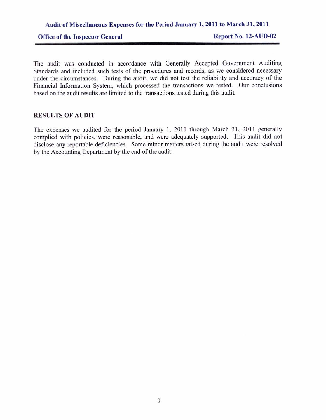#### **Audit of Miscellaneous Expenses for the Period January 1, 2011 to March 31, 2011**

Office of the Inspector General Report No. 12-AUD-02

The audit was conducted in accordance with Generally Accepted Government Auditing Standards and included such tests of the procedures and records, as we considered necessary under the circumstances. During the audit, we did not test the reliability and accuracy of the Financial Information System, which processed the transactions we tested. Our conclusions based on the audit results are limited to the transactions tested during this audit.

#### **RESULTS OF AUDIT**

The expenses we audited for the period January 1, 2011 through March 31, 2011 generally complied with policies, were reasonable, and were adequately supported. This audit did not disclose any reportable deficiencies. Some minor matters raised during the audit were resolved by the Accounting Department by the end of the audit.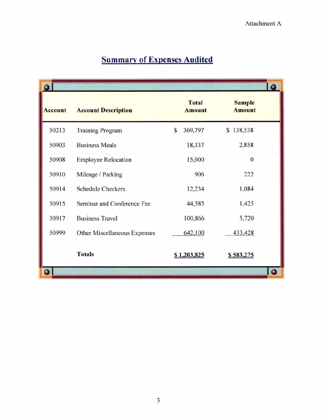|  | <b>Summary of Expenses Audited</b> |  |
|--|------------------------------------|--|
|--|------------------------------------|--|

|                |                              |                               | ٥                              |
|----------------|------------------------------|-------------------------------|--------------------------------|
| <b>Account</b> | <b>Account Description</b>   | <b>Total</b><br><b>Amount</b> | <b>Sample</b><br><b>Amount</b> |
| 50213          | <b>Training Program</b>      | \$<br>369,797                 | \$138,538                      |
| 50903          | <b>Business Meals</b>        | 18,337                        | 2,858                          |
| 50908          | <b>Employee Relocation</b>   | 15,000                        | $\overline{0}$                 |
| 50910          | Mileage / Parking            | 906                           | 222                            |
| 50914          | <b>Schedule Checkers</b>     | 12,234                        | 1,084                          |
| 50915          | Seminar and Conference Fee   | 44,585                        | 1,425                          |
| 50917          | <b>Business Travel</b>       | 100,866                       | 5,720                          |
| 50999          | Other Miscellaneous Expenses | 642,100                       | 433,428                        |
|                | <b>Totals</b>                | \$1,203,825                   | \$583,275                      |
|                |                              |                               | ٥                              |